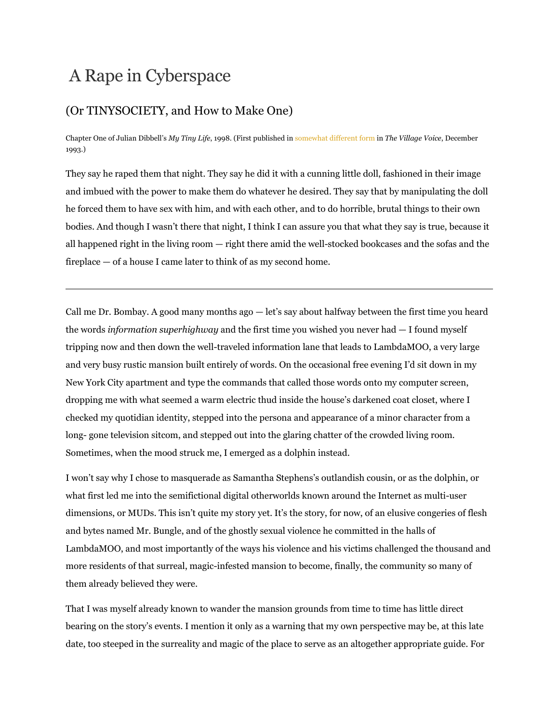## A Rape in Cyberspace

## (Or TINYSOCIETY, and How to Make One)

Chapter One of Julian Dibbell's *My Tiny Life*, 1998. (First published i[n somewhat different form](http://www.juliandibbell.com/texts/bungle_vv.html) in *The Village Voice*, December 1993.)

They say he raped them that night. They say he did it with a cunning little doll, fashioned in their image and imbued with the power to make them do whatever he desired. They say that by manipulating the doll he forced them to have sex with him, and with each other, and to do horrible, brutal things to their own bodies. And though I wasn't there that night, I think I can assure you that what they say is true, because it all happened right in the living room — right there amid the well-stocked bookcases and the sofas and the fireplace — of a house I came later to think of as my second home.

Call me Dr. Bombay. A good many months ago — let's say about halfway between the first time you heard the words *information superhighway* and the first time you wished you never had — I found myself tripping now and then down the well-traveled information lane that leads to LambdaMOO, a very large and very busy rustic mansion built entirely of words. On the occasional free evening I'd sit down in my New York City apartment and type the commands that called those words onto my computer screen, dropping me with what seemed a warm electric thud inside the house's darkened coat closet, where I checked my quotidian identity, stepped into the persona and appearance of a minor character from a long- gone television sitcom, and stepped out into the glaring chatter of the crowded living room. Sometimes, when the mood struck me, I emerged as a dolphin instead.

I won't say why I chose to masquerade as Samantha Stephens's outlandish cousin, or as the dolphin, or what first led me into the semifictional digital otherworlds known around the Internet as multi-user dimensions, or MUDs. This isn't quite my story yet. It's the story, for now, of an elusive congeries of flesh and bytes named Mr. Bungle, and of the ghostly sexual violence he committed in the halls of LambdaMOO, and most importantly of the ways his violence and his victims challenged the thousand and more residents of that surreal, magic-infested mansion to become, finally, the community so many of them already believed they were.

That I was myself already known to wander the mansion grounds from time to time has little direct bearing on the story's events. I mention it only as a warning that my own perspective may be, at this late date, too steeped in the surreality and magic of the place to serve as an altogether appropriate guide. For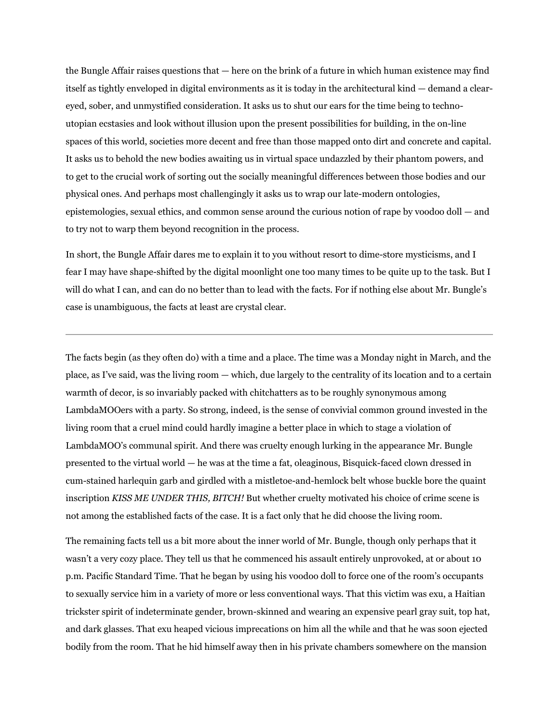the Bungle Affair raises questions that — here on the brink of a future in which human existence may find itself as tightly enveloped in digital environments as it is today in the architectural kind — demand a cleareyed, sober, and unmystified consideration. It asks us to shut our ears for the time being to technoutopian ecstasies and look without illusion upon the present possibilities for building, in the on-line spaces of this world, societies more decent and free than those mapped onto dirt and concrete and capital. It asks us to behold the new bodies awaiting us in virtual space undazzled by their phantom powers, and to get to the crucial work of sorting out the socially meaningful differences between those bodies and our physical ones. And perhaps most challengingly it asks us to wrap our late-modern ontologies, epistemologies, sexual ethics, and common sense around the curious notion of rape by voodoo doll — and to try not to warp them beyond recognition in the process.

In short, the Bungle Affair dares me to explain it to you without resort to dime-store mysticisms, and I fear I may have shape-shifted by the digital moonlight one too many times to be quite up to the task. But I will do what I can, and can do no better than to lead with the facts. For if nothing else about Mr. Bungle's case is unambiguous, the facts at least are crystal clear.

The facts begin (as they often do) with a time and a place. The time was a Monday night in March, and the place, as I've said, was the living room — which, due largely to the centrality of its location and to a certain warmth of decor, is so invariably packed with chitchatters as to be roughly synonymous among LambdaMOOers with a party. So strong, indeed, is the sense of convivial common ground invested in the living room that a cruel mind could hardly imagine a better place in which to stage a violation of LambdaMOO's communal spirit. And there was cruelty enough lurking in the appearance Mr. Bungle presented to the virtual world — he was at the time a fat, oleaginous, Bisquick-faced clown dressed in cum-stained harlequin garb and girdled with a mistletoe-and-hemlock belt whose buckle bore the quaint inscription *KISS ME UNDER THIS, BITCH!* But whether cruelty motivated his choice of crime scene is not among the established facts of the case. It is a fact only that he did choose the living room.

The remaining facts tell us a bit more about the inner world of Mr. Bungle, though only perhaps that it wasn't a very cozy place. They tell us that he commenced his assault entirely unprovoked, at or about 10 p.m. Pacific Standard Time. That he began by using his voodoo doll to force one of the room's occupants to sexually service him in a variety of more or less conventional ways. That this victim was exu, a Haitian trickster spirit of indeterminate gender, brown-skinned and wearing an expensive pearl gray suit, top hat, and dark glasses. That exu heaped vicious imprecations on him all the while and that he was soon ejected bodily from the room. That he hid himself away then in his private chambers somewhere on the mansion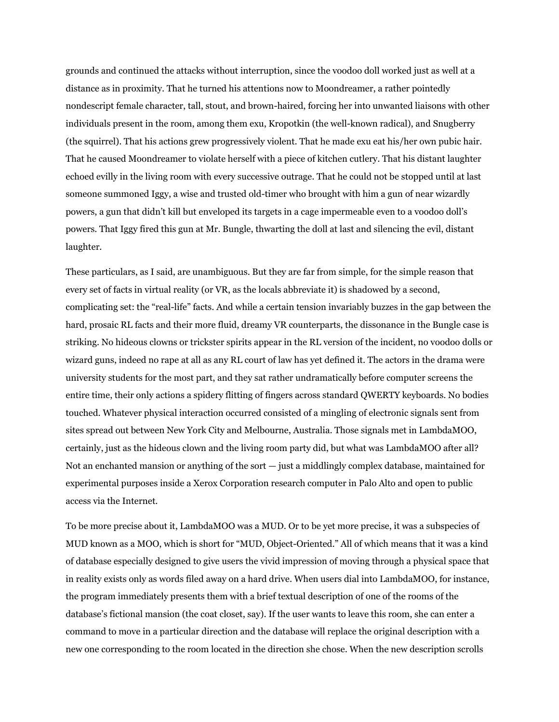grounds and continued the attacks without interruption, since the voodoo doll worked just as well at a distance as in proximity. That he turned his attentions now to Moondreamer, a rather pointedly nondescript female character, tall, stout, and brown-haired, forcing her into unwanted liaisons with other individuals present in the room, among them exu, Kropotkin (the well-known radical), and Snugberry (the squirrel). That his actions grew progressively violent. That he made exu eat his/her own pubic hair. That he caused Moondreamer to violate herself with a piece of kitchen cutlery. That his distant laughter echoed evilly in the living room with every successive outrage. That he could not be stopped until at last someone summoned Iggy, a wise and trusted old-timer who brought with him a gun of near wizardly powers, a gun that didn't kill but enveloped its targets in a cage impermeable even to a voodoo doll's powers. That Iggy fired this gun at Mr. Bungle, thwarting the doll at last and silencing the evil, distant laughter.

These particulars, as I said, are unambiguous. But they are far from simple, for the simple reason that every set of facts in virtual reality (or VR, as the locals abbreviate it) is shadowed by a second, complicating set: the "real-life" facts. And while a certain tension invariably buzzes in the gap between the hard, prosaic RL facts and their more fluid, dreamy VR counterparts, the dissonance in the Bungle case is striking. No hideous clowns or trickster spirits appear in the RL version of the incident, no voodoo dolls or wizard guns, indeed no rape at all as any RL court of law has yet defined it. The actors in the drama were university students for the most part, and they sat rather undramatically before computer screens the entire time, their only actions a spidery flitting of fingers across standard QWERTY keyboards. No bodies touched. Whatever physical interaction occurred consisted of a mingling of electronic signals sent from sites spread out between New York City and Melbourne, Australia. Those signals met in LambdaMOO, certainly, just as the hideous clown and the living room party did, but what was LambdaMOO after all? Not an enchanted mansion or anything of the sort — just a middlingly complex database, maintained for experimental purposes inside a Xerox Corporation research computer in Palo Alto and open to public access via the Internet.

To be more precise about it, LambdaMOO was a MUD. Or to be yet more precise, it was a subspecies of MUD known as a MOO, which is short for "MUD, Object-Oriented." All of which means that it was a kind of database especially designed to give users the vivid impression of moving through a physical space that in reality exists only as words filed away on a hard drive. When users dial into LambdaMOO, for instance, the program immediately presents them with a brief textual description of one of the rooms of the database's fictional mansion (the coat closet, say). If the user wants to leave this room, she can enter a command to move in a particular direction and the database will replace the original description with a new one corresponding to the room located in the direction she chose. When the new description scrolls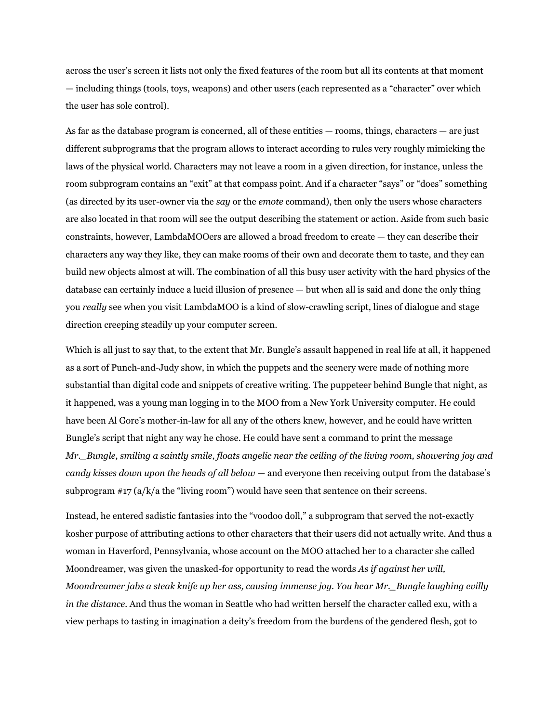across the user's screen it lists not only the fixed features of the room but all its contents at that moment — including things (tools, toys, weapons) and other users (each represented as a "character" over which the user has sole control).

As far as the database program is concerned, all of these entities — rooms, things, characters — are just different subprograms that the program allows to interact according to rules very roughly mimicking the laws of the physical world. Characters may not leave a room in a given direction, for instance, unless the room subprogram contains an "exit" at that compass point. And if a character "says" or "does" something (as directed by its user-owner via the *say* or the *emote* command), then only the users whose characters are also located in that room will see the output describing the statement or action. Aside from such basic constraints, however, LambdaMOOers are allowed a broad freedom to create — they can describe their characters any way they like, they can make rooms of their own and decorate them to taste, and they can build new objects almost at will. The combination of all this busy user activity with the hard physics of the database can certainly induce a lucid illusion of presence — but when all is said and done the only thing you *really* see when you visit LambdaMOO is a kind of slow-crawling script, lines of dialogue and stage direction creeping steadily up your computer screen.

Which is all just to say that, to the extent that Mr. Bungle's assault happened in real life at all, it happened as a sort of Punch-and-Judy show, in which the puppets and the scenery were made of nothing more substantial than digital code and snippets of creative writing. The puppeteer behind Bungle that night, as it happened, was a young man logging in to the MOO from a New York University computer. He could have been Al Gore's mother-in-law for all any of the others knew, however, and he could have written Bungle's script that night any way he chose. He could have sent a command to print the message *Mr.\_Bungle, smiling a saintly smile, floats angelic near the ceiling of the living room, showering joy and candy kisses down upon the heads of all below* — and everyone then receiving output from the database's subprogram  $\#17$  (a/k/a the "living room") would have seen that sentence on their screens.

Instead, he entered sadistic fantasies into the "voodoo doll," a subprogram that served the not-exactly kosher purpose of attributing actions to other characters that their users did not actually write. And thus a woman in Haverford, Pennsylvania, whose account on the MOO attached her to a character she called Moondreamer, was given the unasked-for opportunity to read the words *As if against her will, Moondreamer jabs a steak knife up her ass, causing immense joy. You hear Mr.\_Bungle laughing evilly in the distance.* And thus the woman in Seattle who had written herself the character called exu, with a view perhaps to tasting in imagination a deity's freedom from the burdens of the gendered flesh, got to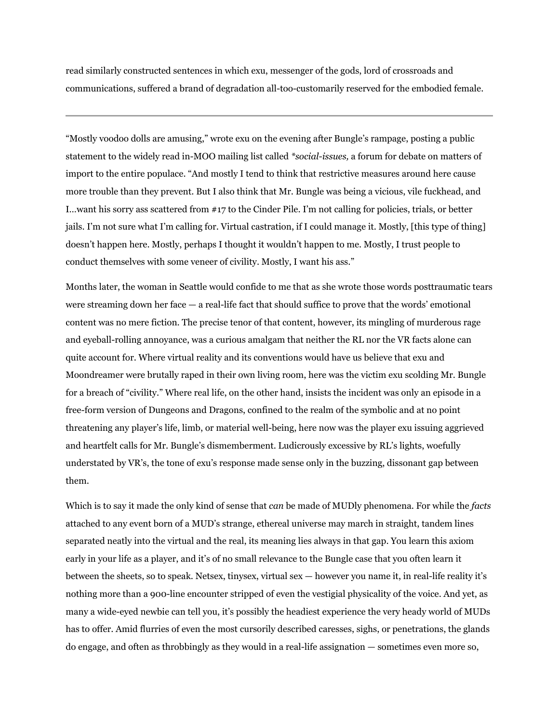read similarly constructed sentences in which exu, messenger of the gods, lord of crossroads and communications, suffered a brand of degradation all-too-customarily reserved for the embodied female.

"Mostly voodoo dolls are amusing," wrote exu on the evening after Bungle's rampage, posting a public statement to the widely read in-MOO mailing list called *\*social-issues,* a forum for debate on matters of import to the entire populace. "And mostly I tend to think that restrictive measures around here cause more trouble than they prevent. But I also think that Mr. Bungle was being a vicious, vile fuckhead, and I…want his sorry ass scattered from #17 to the Cinder Pile. I'm not calling for policies, trials, or better jails. I'm not sure what I'm calling for. Virtual castration, if I could manage it. Mostly, [this type of thing] doesn't happen here. Mostly, perhaps I thought it wouldn't happen to me. Mostly, I trust people to conduct themselves with some veneer of civility. Mostly, I want his ass."

Months later, the woman in Seattle would confide to me that as she wrote those words posttraumatic tears were streaming down her face — a real-life fact that should suffice to prove that the words' emotional content was no mere fiction. The precise tenor of that content, however, its mingling of murderous rage and eyeball-rolling annoyance, was a curious amalgam that neither the RL nor the VR facts alone can quite account for. Where virtual reality and its conventions would have us believe that exu and Moondreamer were brutally raped in their own living room, here was the victim exu scolding Mr. Bungle for a breach of "civility." Where real life, on the other hand, insists the incident was only an episode in a free-form version of Dungeons and Dragons, confined to the realm of the symbolic and at no point threatening any player's life, limb, or material well-being, here now was the player exu issuing aggrieved and heartfelt calls for Mr. Bungle's dismemberment. Ludicrously excessive by RL's lights, woefully understated by VR's, the tone of exu's response made sense only in the buzzing, dissonant gap between them.

Which is to say it made the only kind of sense that *can* be made of MUDly phenomena. For while the *facts* attached to any event born of a MUD's strange, ethereal universe may march in straight, tandem lines separated neatly into the virtual and the real, its meaning lies always in that gap. You learn this axiom early in your life as a player, and it's of no small relevance to the Bungle case that you often learn it between the sheets, so to speak. Netsex, tinysex, virtual sex — however you name it, in real-life reality it's nothing more than a 900-line encounter stripped of even the vestigial physicality of the voice. And yet, as many a wide-eyed newbie can tell you, it's possibly the headiest experience the very heady world of MUDs has to offer. Amid flurries of even the most cursorily described caresses, sighs, or penetrations, the glands do engage, and often as throbbingly as they would in a real-life assignation — sometimes even more so,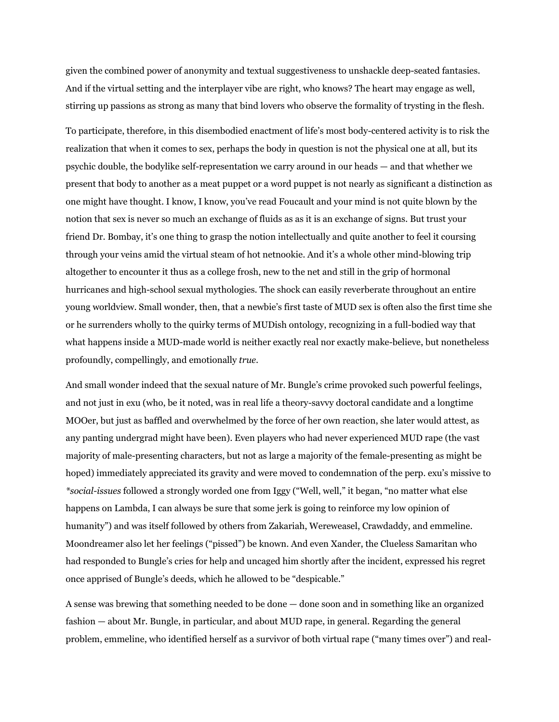given the combined power of anonymity and textual suggestiveness to unshackle deep-seated fantasies. And if the virtual setting and the interplayer vibe are right, who knows? The heart may engage as well, stirring up passions as strong as many that bind lovers who observe the formality of trysting in the flesh.

To participate, therefore, in this disembodied enactment of life's most body-centered activity is to risk the realization that when it comes to sex, perhaps the body in question is not the physical one at all, but its psychic double, the bodylike self-representation we carry around in our heads — and that whether we present that body to another as a meat puppet or a word puppet is not nearly as significant a distinction as one might have thought. I know, I know, you've read Foucault and your mind is not quite blown by the notion that sex is never so much an exchange of fluids as as it is an exchange of signs. But trust your friend Dr. Bombay, it's one thing to grasp the notion intellectually and quite another to feel it coursing through your veins amid the virtual steam of hot netnookie. And it's a whole other mind-blowing trip altogether to encounter it thus as a college frosh, new to the net and still in the grip of hormonal hurricanes and high-school sexual mythologies. The shock can easily reverberate throughout an entire young worldview. Small wonder, then, that a newbie's first taste of MUD sex is often also the first time she or he surrenders wholly to the quirky terms of MUDish ontology, recognizing in a full-bodied way that what happens inside a MUD-made world is neither exactly real nor exactly make-believe, but nonetheless profoundly, compellingly, and emotionally *true*.

And small wonder indeed that the sexual nature of Mr. Bungle's crime provoked such powerful feelings, and not just in exu (who, be it noted, was in real life a theory-savvy doctoral candidate and a longtime MOOer, but just as baffled and overwhelmed by the force of her own reaction, she later would attest, as any panting undergrad might have been). Even players who had never experienced MUD rape (the vast majority of male-presenting characters, but not as large a majority of the female-presenting as might be hoped) immediately appreciated its gravity and were moved to condemnation of the perp. exu's missive to *\*social-issues* followed a strongly worded one from Iggy ("Well, well," it began, "no matter what else happens on Lambda, I can always be sure that some jerk is going to reinforce my low opinion of humanity") and was itself followed by others from Zakariah, Wereweasel, Crawdaddy, and emmeline. Moondreamer also let her feelings ("pissed") be known. And even Xander, the Clueless Samaritan who had responded to Bungle's cries for help and uncaged him shortly after the incident, expressed his regret once apprised of Bungle's deeds, which he allowed to be "despicable."

A sense was brewing that something needed to be done — done soon and in something like an organized fashion — about Mr. Bungle, in particular, and about MUD rape, in general. Regarding the general problem, emmeline, who identified herself as a survivor of both virtual rape ("many times over") and real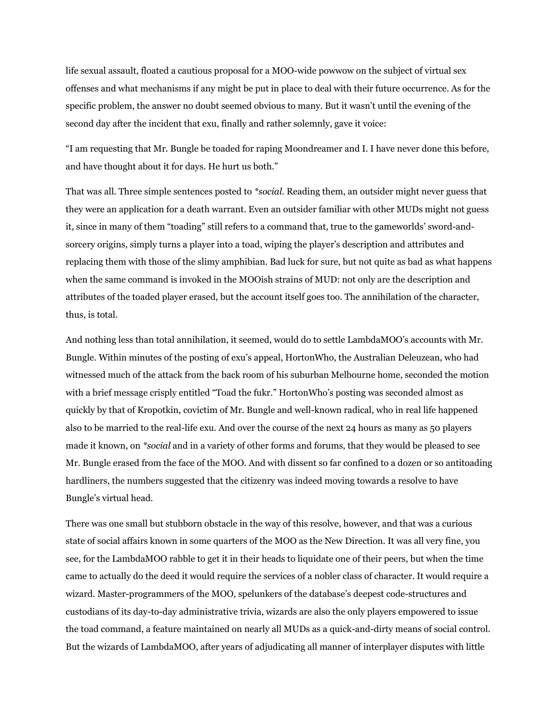life sexual assault, floated a cautious proposal for a MOO-wide powwow on the subject of virtual sex offenses and what mechanisms if any might be put in place to deal with their future occurrence. As for the specific problem, the answer no doubt seemed obvious to many. But it wasn't until the evening of the second day after the incident that exu, finally and rather solemnly, gave it voice:

"I am requesting that Mr. Bungle be toaded for raping Moondreamer and I. I have never done this before, and have thought about it for days. He hurt us both."

That was all. Three simple sentences posted to *\*social*. Reading them, an outsider might never guess that they were an application for a death warrant. Even an outsider familiar with other MUDs might not guess it, since in many of them "toading" still refers to a command that, true to the gameworlds' sword-andsorcery origins, simply turns a player into a toad, wiping the player's description and attributes and replacing them with those of the slimy amphibian. Bad luck for sure, but not quite as bad as what happens when the same command is invoked in the MOOish strains of MUD: not only are the description and attributes of the toaded player erased, but the account itself goes too. The annihilation of the character, thus, is total.

And nothing less than total annihilation, it seemed, would do to settle LambdaMOO's accounts with Mr. Bungle. Within minutes of the posting of exu's appeal, HortonWho, the Australian Deleuzean, who had witnessed much of the attack from the back room of his suburban Melbourne home, seconded the motion with a brief message crisply entitled "Toad the fukr." HortonWho's posting was seconded almost as quickly by that of Kropotkin, covictim of Mr. Bungle and well-known radical, who in real life happened also to be married to the real-life exu. And over the course of the next 24 hours as many as 50 players made it known, on *\*social* and in a variety of other forms and forums, that they would be pleased to see Mr. Bungle erased from the face of the MOO. And with dissent so far confined to a dozen or so antitoading hardliners, the numbers suggested that the citizenry was indeed moving towards a resolve to have Bungle's virtual head.

There was one small but stubborn obstacle in the way of this resolve, however, and that was a curious state of social affairs known in some quarters of the MOO as the New Direction. It was all very fine, you see, for the LambdaMOO rabble to get it in their heads to liquidate one of their peers, but when the time came to actually do the deed it would require the services of a nobler class of character. It would require a wizard. Master-programmers of the MOO, spelunkers of the database's deepest code-structures and custodians of its day-to-day administrative trivia, wizards are also the only players empowered to issue the toad command, a feature maintained on nearly all MUDs as a quick-and-dirty means of social control. But the wizards of LambdaMOO, after years of adjudicating all manner of interplayer disputes with little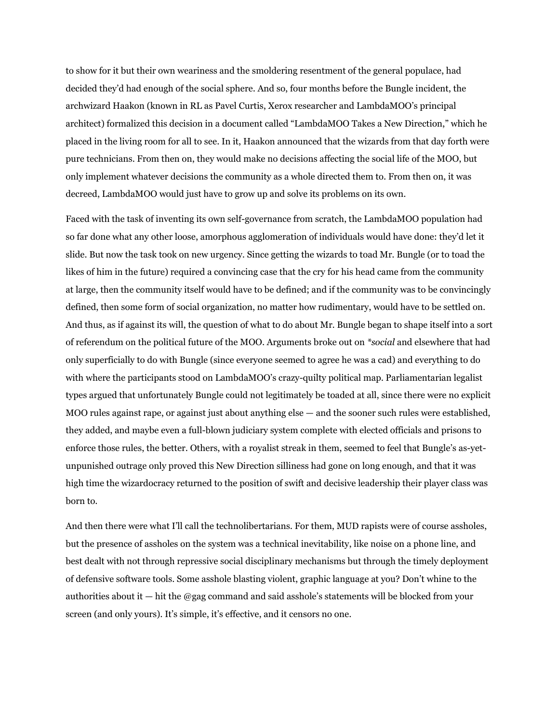to show for it but their own weariness and the smoldering resentment of the general populace, had decided they'd had enough of the social sphere. And so, four months before the Bungle incident, the archwizard Haakon (known in RL as Pavel Curtis, Xerox researcher and LambdaMOO's principal architect) formalized this decision in a document called "LambdaMOO Takes a New Direction," which he placed in the living room for all to see. In it, Haakon announced that the wizards from that day forth were pure technicians. From then on, they would make no decisions affecting the social life of the MOO, but only implement whatever decisions the community as a whole directed them to. From then on, it was decreed, LambdaMOO would just have to grow up and solve its problems on its own.

Faced with the task of inventing its own self-governance from scratch, the LambdaMOO population had so far done what any other loose, amorphous agglomeration of individuals would have done: they'd let it slide. But now the task took on new urgency. Since getting the wizards to toad Mr. Bungle (or to toad the likes of him in the future) required a convincing case that the cry for his head came from the community at large, then the community itself would have to be defined; and if the community was to be convincingly defined, then some form of social organization, no matter how rudimentary, would have to be settled on. And thus, as if against its will, the question of what to do about Mr. Bungle began to shape itself into a sort of referendum on the political future of the MOO. Arguments broke out on *\*social* and elsewhere that had only superficially to do with Bungle (since everyone seemed to agree he was a cad) and everything to do with where the participants stood on LambdaMOO's crazy-quilty political map. Parliamentarian legalist types argued that unfortunately Bungle could not legitimately be toaded at all, since there were no explicit MOO rules against rape, or against just about anything else — and the sooner such rules were established, they added, and maybe even a full-blown judiciary system complete with elected officials and prisons to enforce those rules, the better. Others, with a royalist streak in them, seemed to feel that Bungle's as-yetunpunished outrage only proved this New Direction silliness had gone on long enough, and that it was high time the wizardocracy returned to the position of swift and decisive leadership their player class was born to.

And then there were what I'll call the technolibertarians. For them, MUD rapists were of course assholes, but the presence of assholes on the system was a technical inevitability, like noise on a phone line, and best dealt with not through repressive social disciplinary mechanisms but through the timely deployment of defensive software tools. Some asshole blasting violent, graphic language at you? Don't whine to the authorities about it — hit the @gag command and said asshole's statements will be blocked from your screen (and only yours). It's simple, it's effective, and it censors no one.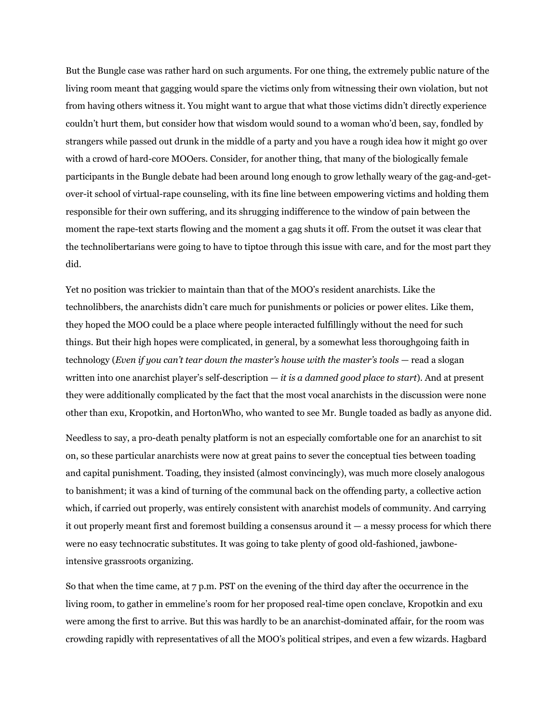But the Bungle case was rather hard on such arguments. For one thing, the extremely public nature of the living room meant that gagging would spare the victims only from witnessing their own violation, but not from having others witness it. You might want to argue that what those victims didn't directly experience couldn't hurt them, but consider how that wisdom would sound to a woman who'd been, say, fondled by strangers while passed out drunk in the middle of a party and you have a rough idea how it might go over with a crowd of hard-core MOOers. Consider, for another thing, that many of the biologically female participants in the Bungle debate had been around long enough to grow lethally weary of the gag-and-getover-it school of virtual-rape counseling, with its fine line between empowering victims and holding them responsible for their own suffering, and its shrugging indifference to the window of pain between the moment the rape-text starts flowing and the moment a gag shuts it off. From the outset it was clear that the technolibertarians were going to have to tiptoe through this issue with care, and for the most part they did.

Yet no position was trickier to maintain than that of the MOO's resident anarchists. Like the technolibbers, the anarchists didn't care much for punishments or policies or power elites. Like them, they hoped the MOO could be a place where people interacted fulfillingly without the need for such things. But their high hopes were complicated, in general, by a somewhat less thoroughgoing faith in technology (*Even if you can't tear down the master's house with the master's tools* — read a slogan written into one anarchist player's self-description — *it is a damned good place to start*). And at present they were additionally complicated by the fact that the most vocal anarchists in the discussion were none other than exu, Kropotkin, and HortonWho, who wanted to see Mr. Bungle toaded as badly as anyone did.

Needless to say, a pro-death penalty platform is not an especially comfortable one for an anarchist to sit on, so these particular anarchists were now at great pains to sever the conceptual ties between toading and capital punishment. Toading, they insisted (almost convincingly), was much more closely analogous to banishment; it was a kind of turning of the communal back on the offending party, a collective action which, if carried out properly, was entirely consistent with anarchist models of community. And carrying it out properly meant first and foremost building a consensus around it — a messy process for which there were no easy technocratic substitutes. It was going to take plenty of good old-fashioned, jawboneintensive grassroots organizing.

So that when the time came, at  $7 p.m.$  PST on the evening of the third day after the occurrence in the living room, to gather in emmeline's room for her proposed real-time open conclave, Kropotkin and exu were among the first to arrive. But this was hardly to be an anarchist-dominated affair, for the room was crowding rapidly with representatives of all the MOO's political stripes, and even a few wizards. Hagbard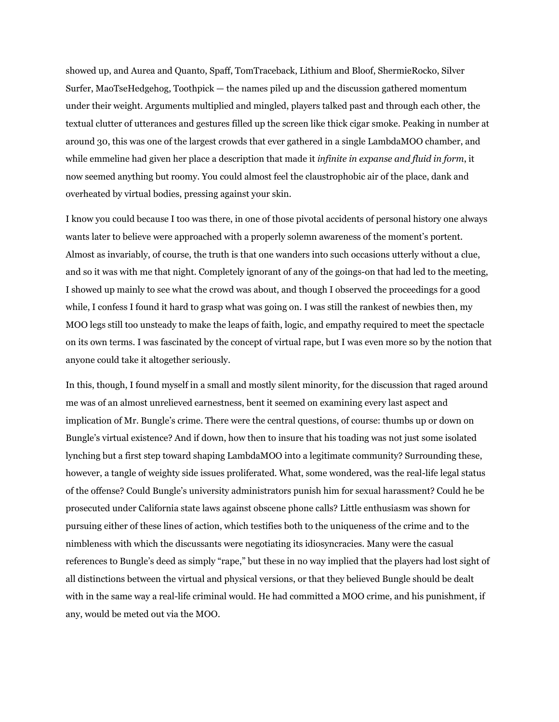showed up, and Aurea and Quanto, Spaff, TomTraceback, Lithium and Bloof, ShermieRocko, Silver Surfer, MaoTseHedgehog, Toothpick — the names piled up and the discussion gathered momentum under their weight. Arguments multiplied and mingled, players talked past and through each other, the textual clutter of utterances and gestures filled up the screen like thick cigar smoke. Peaking in number at around 30, this was one of the largest crowds that ever gathered in a single LambdaMOO chamber, and while emmeline had given her place a description that made it *infinite in expanse and fluid in form*, it now seemed anything but roomy. You could almost feel the claustrophobic air of the place, dank and overheated by virtual bodies, pressing against your skin.

I know you could because I too was there, in one of those pivotal accidents of personal history one always wants later to believe were approached with a properly solemn awareness of the moment's portent. Almost as invariably, of course, the truth is that one wanders into such occasions utterly without a clue, and so it was with me that night. Completely ignorant of any of the goings-on that had led to the meeting, I showed up mainly to see what the crowd was about, and though I observed the proceedings for a good while, I confess I found it hard to grasp what was going on. I was still the rankest of newbies then, my MOO legs still too unsteady to make the leaps of faith, logic, and empathy required to meet the spectacle on its own terms. I was fascinated by the concept of virtual rape, but I was even more so by the notion that anyone could take it altogether seriously.

In this, though, I found myself in a small and mostly silent minority, for the discussion that raged around me was of an almost unrelieved earnestness, bent it seemed on examining every last aspect and implication of Mr. Bungle's crime. There were the central questions, of course: thumbs up or down on Bungle's virtual existence? And if down, how then to insure that his toading was not just some isolated lynching but a first step toward shaping LambdaMOO into a legitimate community? Surrounding these, however, a tangle of weighty side issues proliferated. What, some wondered, was the real-life legal status of the offense? Could Bungle's university administrators punish him for sexual harassment? Could he be prosecuted under California state laws against obscene phone calls? Little enthusiasm was shown for pursuing either of these lines of action, which testifies both to the uniqueness of the crime and to the nimbleness with which the discussants were negotiating its idiosyncracies. Many were the casual references to Bungle's deed as simply "rape," but these in no way implied that the players had lost sight of all distinctions between the virtual and physical versions, or that they believed Bungle should be dealt with in the same way a real-life criminal would. He had committed a MOO crime, and his punishment, if any, would be meted out via the MOO.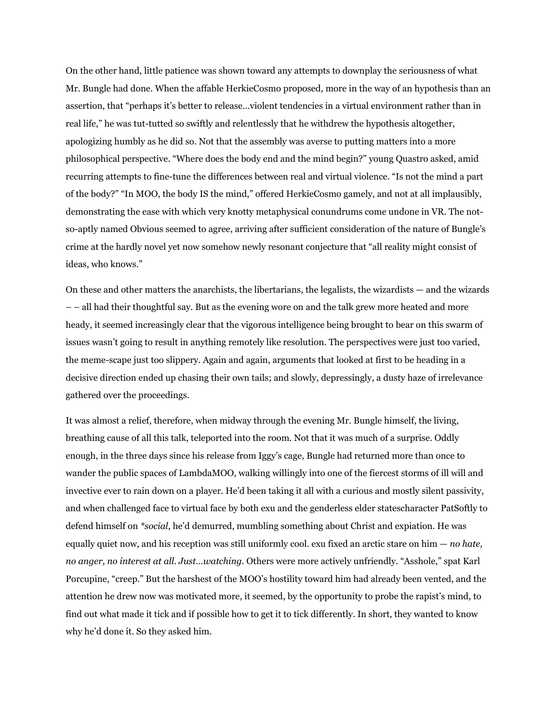On the other hand, little patience was shown toward any attempts to downplay the seriousness of what Mr. Bungle had done. When the affable HerkieCosmo proposed, more in the way of an hypothesis than an assertion, that "perhaps it's better to release…violent tendencies in a virtual environment rather than in real life," he was tut-tutted so swiftly and relentlessly that he withdrew the hypothesis altogether, apologizing humbly as he did so. Not that the assembly was averse to putting matters into a more philosophical perspective. "Where does the body end and the mind begin?" young Quastro asked, amid recurring attempts to fine-tune the differences between real and virtual violence. "Is not the mind a part of the body?" "In MOO, the body IS the mind," offered HerkieCosmo gamely, and not at all implausibly, demonstrating the ease with which very knotty metaphysical conundrums come undone in VR. The notso-aptly named Obvious seemed to agree, arriving after sufficient consideration of the nature of Bungle's crime at the hardly novel yet now somehow newly resonant conjecture that "all reality might consist of ideas, who knows."

On these and other matters the anarchists, the libertarians, the legalists, the wizardists — and the wizards – – all had their thoughtful say. But as the evening wore on and the talk grew more heated and more heady, it seemed increasingly clear that the vigorous intelligence being brought to bear on this swarm of issues wasn't going to result in anything remotely like resolution. The perspectives were just too varied, the meme-scape just too slippery. Again and again, arguments that looked at first to be heading in a decisive direction ended up chasing their own tails; and slowly, depressingly, a dusty haze of irrelevance gathered over the proceedings.

It was almost a relief, therefore, when midway through the evening Mr. Bungle himself, the living, breathing cause of all this talk, teleported into the room. Not that it was much of a surprise. Oddly enough, in the three days since his release from Iggy's cage, Bungle had returned more than once to wander the public spaces of LambdaMOO, walking willingly into one of the fiercest storms of ill will and invective ever to rain down on a player. He'd been taking it all with a curious and mostly silent passivity, and when challenged face to virtual face by both exu and the genderless elder statescharacter PatSoftly to defend himself on *\*social*, he'd demurred, mumbling something about Christ and expiation. He was equally quiet now, and his reception was still uniformly cool. exu fixed an arctic stare on him — *no hate, no anger, no interest at all. Just…watching.* Others were more actively unfriendly. "Asshole," spat Karl Porcupine, "creep." But the harshest of the MOO's hostility toward him had already been vented, and the attention he drew now was motivated more, it seemed, by the opportunity to probe the rapist's mind, to find out what made it tick and if possible how to get it to tick differently. In short, they wanted to know why he'd done it. So they asked him.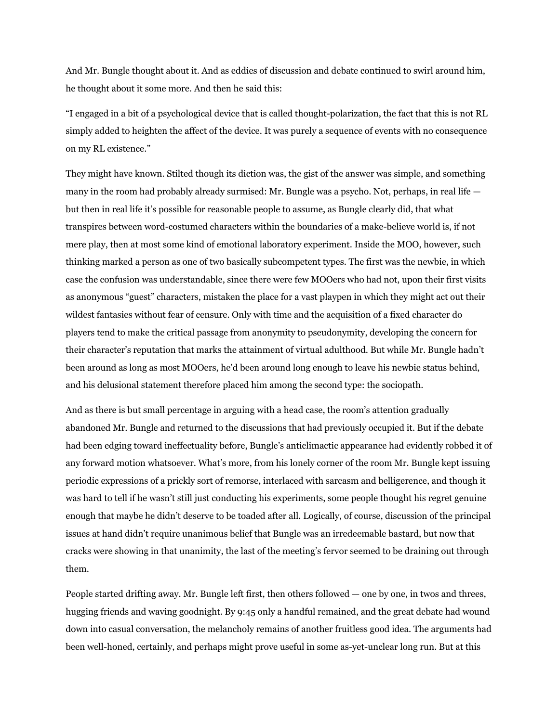And Mr. Bungle thought about it. And as eddies of discussion and debate continued to swirl around him, he thought about it some more. And then he said this:

"I engaged in a bit of a psychological device that is called thought-polarization, the fact that this is not RL simply added to heighten the affect of the device. It was purely a sequence of events with no consequence on my RL existence."

They might have known. Stilted though its diction was, the gist of the answer was simple, and something many in the room had probably already surmised: Mr. Bungle was a psycho. Not, perhaps, in real life but then in real life it's possible for reasonable people to assume, as Bungle clearly did, that what transpires between word-costumed characters within the boundaries of a make-believe world is, if not mere play, then at most some kind of emotional laboratory experiment. Inside the MOO, however, such thinking marked a person as one of two basically subcompetent types. The first was the newbie, in which case the confusion was understandable, since there were few MOOers who had not, upon their first visits as anonymous "guest" characters, mistaken the place for a vast playpen in which they might act out their wildest fantasies without fear of censure. Only with time and the acquisition of a fixed character do players tend to make the critical passage from anonymity to pseudonymity, developing the concern for their character's reputation that marks the attainment of virtual adulthood. But while Mr. Bungle hadn't been around as long as most MOOers, he'd been around long enough to leave his newbie status behind, and his delusional statement therefore placed him among the second type: the sociopath.

And as there is but small percentage in arguing with a head case, the room's attention gradually abandoned Mr. Bungle and returned to the discussions that had previously occupied it. But if the debate had been edging toward ineffectuality before, Bungle's anticlimactic appearance had evidently robbed it of any forward motion whatsoever. What's more, from his lonely corner of the room Mr. Bungle kept issuing periodic expressions of a prickly sort of remorse, interlaced with sarcasm and belligerence, and though it was hard to tell if he wasn't still just conducting his experiments, some people thought his regret genuine enough that maybe he didn't deserve to be toaded after all. Logically, of course, discussion of the principal issues at hand didn't require unanimous belief that Bungle was an irredeemable bastard, but now that cracks were showing in that unanimity, the last of the meeting's fervor seemed to be draining out through them.

People started drifting away. Mr. Bungle left first, then others followed — one by one, in twos and threes, hugging friends and waving goodnight. By 9:45 only a handful remained, and the great debate had wound down into casual conversation, the melancholy remains of another fruitless good idea. The arguments had been well-honed, certainly, and perhaps might prove useful in some as-yet-unclear long run. But at this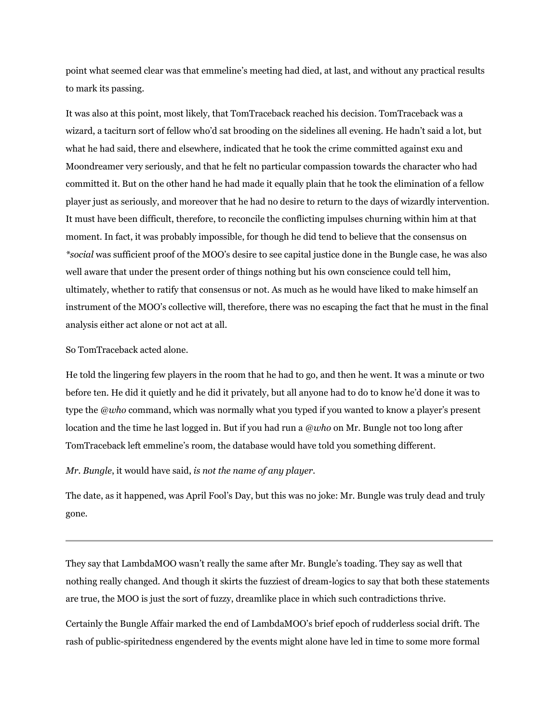point what seemed clear was that emmeline's meeting had died, at last, and without any practical results to mark its passing.

It was also at this point, most likely, that TomTraceback reached his decision. TomTraceback was a wizard, a taciturn sort of fellow who'd sat brooding on the sidelines all evening. He hadn't said a lot, but what he had said, there and elsewhere, indicated that he took the crime committed against exu and Moondreamer very seriously, and that he felt no particular compassion towards the character who had committed it. But on the other hand he had made it equally plain that he took the elimination of a fellow player just as seriously, and moreover that he had no desire to return to the days of wizardly intervention. It must have been difficult, therefore, to reconcile the conflicting impulses churning within him at that moment. In fact, it was probably impossible, for though he did tend to believe that the consensus on *\*social* was sufficient proof of the MOO's desire to see capital justice done in the Bungle case, he was also well aware that under the present order of things nothing but his own conscience could tell him, ultimately, whether to ratify that consensus or not. As much as he would have liked to make himself an instrument of the MOO's collective will, therefore, there was no escaping the fact that he must in the final analysis either act alone or not act at all.

## So TomTraceback acted alone.

He told the lingering few players in the room that he had to go, and then he went. It was a minute or two before ten. He did it quietly and he did it privately, but all anyone had to do to know he'd done it was to type the *@who* command, which was normally what you typed if you wanted to know a player's present location and the time he last logged in. But if you had run a *@who* on Mr. Bungle not too long after TomTraceback left emmeline's room, the database would have told you something different.

*Mr. Bungle*, it would have said, *is not the name of any player*.

The date, as it happened, was April Fool's Day, but this was no joke: Mr. Bungle was truly dead and truly gone.

They say that LambdaMOO wasn't really the same after Mr. Bungle's toading. They say as well that nothing really changed. And though it skirts the fuzziest of dream-logics to say that both these statements are true, the MOO is just the sort of fuzzy, dreamlike place in which such contradictions thrive.

Certainly the Bungle Affair marked the end of LambdaMOO's brief epoch of rudderless social drift. The rash of public-spiritedness engendered by the events might alone have led in time to some more formal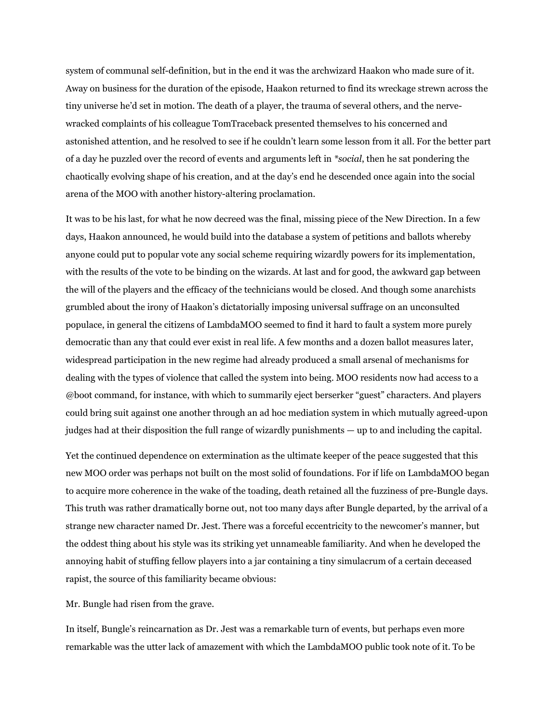system of communal self-definition, but in the end it was the archwizard Haakon who made sure of it. Away on business for the duration of the episode, Haakon returned to find its wreckage strewn across the tiny universe he'd set in motion. The death of a player, the trauma of several others, and the nervewracked complaints of his colleague TomTraceback presented themselves to his concerned and astonished attention, and he resolved to see if he couldn't learn some lesson from it all. For the better part of a day he puzzled over the record of events and arguments left in *\*social*, then he sat pondering the chaotically evolving shape of his creation, and at the day's end he descended once again into the social arena of the MOO with another history-altering proclamation.

It was to be his last, for what he now decreed was the final, missing piece of the New Direction. In a few days, Haakon announced, he would build into the database a system of petitions and ballots whereby anyone could put to popular vote any social scheme requiring wizardly powers for its implementation, with the results of the vote to be binding on the wizards. At last and for good, the awkward gap between the will of the players and the efficacy of the technicians would be closed. And though some anarchists grumbled about the irony of Haakon's dictatorially imposing universal suffrage on an unconsulted populace, in general the citizens of LambdaMOO seemed to find it hard to fault a system more purely democratic than any that could ever exist in real life. A few months and a dozen ballot measures later, widespread participation in the new regime had already produced a small arsenal of mechanisms for dealing with the types of violence that called the system into being. MOO residents now had access to a @boot command, for instance, with which to summarily eject berserker "guest" characters. And players could bring suit against one another through an ad hoc mediation system in which mutually agreed-upon judges had at their disposition the full range of wizardly punishments — up to and including the capital.

Yet the continued dependence on extermination as the ultimate keeper of the peace suggested that this new MOO order was perhaps not built on the most solid of foundations. For if life on LambdaMOO began to acquire more coherence in the wake of the toading, death retained all the fuzziness of pre-Bungle days. This truth was rather dramatically borne out, not too many days after Bungle departed, by the arrival of a strange new character named Dr. Jest. There was a forceful eccentricity to the newcomer's manner, but the oddest thing about his style was its striking yet unnameable familiarity. And when he developed the annoying habit of stuffing fellow players into a jar containing a tiny simulacrum of a certain deceased rapist, the source of this familiarity became obvious:

Mr. Bungle had risen from the grave.

In itself, Bungle's reincarnation as Dr. Jest was a remarkable turn of events, but perhaps even more remarkable was the utter lack of amazement with which the LambdaMOO public took note of it. To be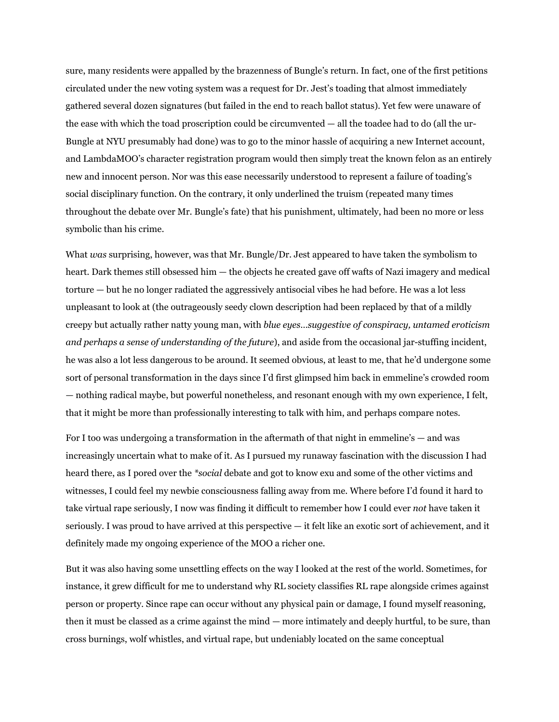sure, many residents were appalled by the brazenness of Bungle's return. In fact, one of the first petitions circulated under the new voting system was a request for Dr. Jest's toading that almost immediately gathered several dozen signatures (but failed in the end to reach ballot status). Yet few were unaware of the ease with which the toad proscription could be circumvented — all the toadee had to do (all the ur-Bungle at NYU presumably had done) was to go to the minor hassle of acquiring a new Internet account, and LambdaMOO's character registration program would then simply treat the known felon as an entirely new and innocent person. Nor was this ease necessarily understood to represent a failure of toading's social disciplinary function. On the contrary, it only underlined the truism (repeated many times throughout the debate over Mr. Bungle's fate) that his punishment, ultimately, had been no more or less symbolic than his crime.

What *was* surprising, however, was that Mr. Bungle/Dr. Jest appeared to have taken the symbolism to heart. Dark themes still obsessed him — the objects he created gave off wafts of Nazi imagery and medical torture — but he no longer radiated the aggressively antisocial vibes he had before. He was a lot less unpleasant to look at (the outrageously seedy clown description had been replaced by that of a mildly creepy but actually rather natty young man, with *blue eyes…suggestive of conspiracy, untamed eroticism and perhaps a sense of understanding of the future*), and aside from the occasional jar-stuffing incident, he was also a lot less dangerous to be around. It seemed obvious, at least to me, that he'd undergone some sort of personal transformation in the days since I'd first glimpsed him back in emmeline's crowded room — nothing radical maybe, but powerful nonetheless, and resonant enough with my own experience, I felt, that it might be more than professionally interesting to talk with him, and perhaps compare notes.

For I too was undergoing a transformation in the aftermath of that night in emmeline's — and was increasingly uncertain what to make of it. As I pursued my runaway fascination with the discussion I had heard there, as I pored over the *\*social* debate and got to know exu and some of the other victims and witnesses, I could feel my newbie consciousness falling away from me. Where before I'd found it hard to take virtual rape seriously, I now was finding it difficult to remember how I could ever *not* have taken it seriously. I was proud to have arrived at this perspective — it felt like an exotic sort of achievement, and it definitely made my ongoing experience of the MOO a richer one.

But it was also having some unsettling effects on the way I looked at the rest of the world. Sometimes, for instance, it grew difficult for me to understand why RL society classifies RL rape alongside crimes against person or property. Since rape can occur without any physical pain or damage, I found myself reasoning, then it must be classed as a crime against the mind — more intimately and deeply hurtful, to be sure, than cross burnings, wolf whistles, and virtual rape, but undeniably located on the same conceptual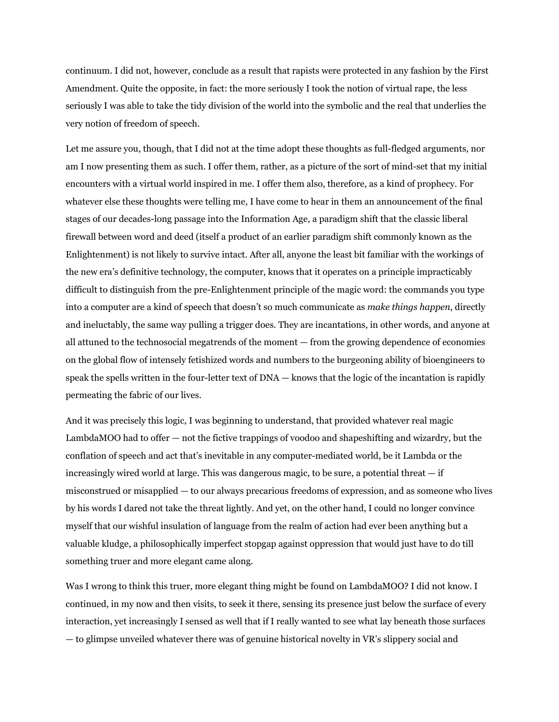continuum. I did not, however, conclude as a result that rapists were protected in any fashion by the First Amendment. Quite the opposite, in fact: the more seriously I took the notion of virtual rape, the less seriously I was able to take the tidy division of the world into the symbolic and the real that underlies the very notion of freedom of speech.

Let me assure you, though, that I did not at the time adopt these thoughts as full-fledged arguments, nor am I now presenting them as such. I offer them, rather, as a picture of the sort of mind-set that my initial encounters with a virtual world inspired in me. I offer them also, therefore, as a kind of prophecy. For whatever else these thoughts were telling me, I have come to hear in them an announcement of the final stages of our decades-long passage into the Information Age, a paradigm shift that the classic liberal firewall between word and deed (itself a product of an earlier paradigm shift commonly known as the Enlightenment) is not likely to survive intact. After all, anyone the least bit familiar with the workings of the new era's definitive technology, the computer, knows that it operates on a principle impracticably difficult to distinguish from the pre-Enlightenment principle of the magic word: the commands you type into a computer are a kind of speech that doesn't so much communicate as *make things happen*, directly and ineluctably, the same way pulling a trigger does. They are incantations, in other words, and anyone at all attuned to the technosocial megatrends of the moment — from the growing dependence of economies on the global flow of intensely fetishized words and numbers to the burgeoning ability of bioengineers to speak the spells written in the four-letter text of DNA — knows that the logic of the incantation is rapidly permeating the fabric of our lives.

And it was precisely this logic, I was beginning to understand, that provided whatever real magic LambdaMOO had to offer — not the fictive trappings of voodoo and shapeshifting and wizardry, but the conflation of speech and act that's inevitable in any computer-mediated world, be it Lambda or the increasingly wired world at large. This was dangerous magic, to be sure, a potential threat  $-$  if misconstrued or misapplied — to our always precarious freedoms of expression, and as someone who lives by his words I dared not take the threat lightly. And yet, on the other hand, I could no longer convince myself that our wishful insulation of language from the realm of action had ever been anything but a valuable kludge, a philosophically imperfect stopgap against oppression that would just have to do till something truer and more elegant came along.

Was I wrong to think this truer, more elegant thing might be found on LambdaMOO? I did not know. I continued, in my now and then visits, to seek it there, sensing its presence just below the surface of every interaction, yet increasingly I sensed as well that if I really wanted to see what lay beneath those surfaces — to glimpse unveiled whatever there was of genuine historical novelty in VR's slippery social and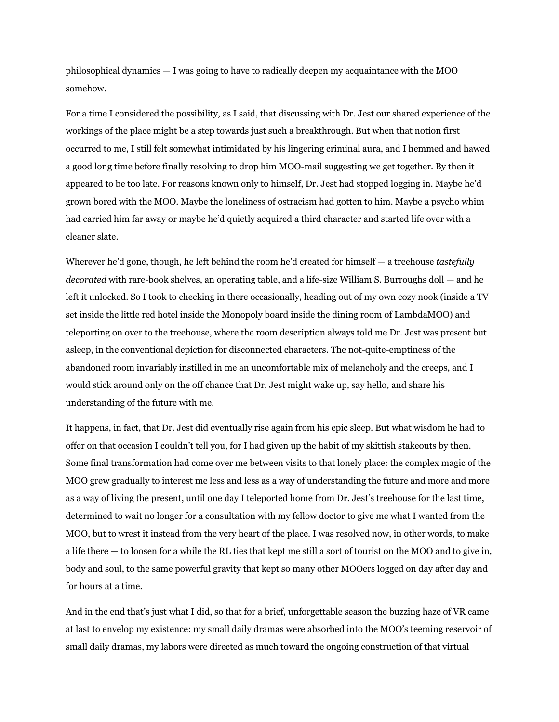philosophical dynamics — I was going to have to radically deepen my acquaintance with the MOO somehow.

For a time I considered the possibility, as I said, that discussing with Dr. Jest our shared experience of the workings of the place might be a step towards just such a breakthrough. But when that notion first occurred to me, I still felt somewhat intimidated by his lingering criminal aura, and I hemmed and hawed a good long time before finally resolving to drop him MOO-mail suggesting we get together. By then it appeared to be too late. For reasons known only to himself, Dr. Jest had stopped logging in. Maybe he'd grown bored with the MOO. Maybe the loneliness of ostracism had gotten to him. Maybe a psycho whim had carried him far away or maybe he'd quietly acquired a third character and started life over with a cleaner slate.

Wherever he'd gone, though, he left behind the room he'd created for himself — a treehouse *tastefully decorated* with rare-book shelves, an operating table, and a life-size William S. Burroughs doll — and he left it unlocked. So I took to checking in there occasionally, heading out of my own cozy nook (inside a TV set inside the little red hotel inside the Monopoly board inside the dining room of LambdaMOO) and teleporting on over to the treehouse, where the room description always told me Dr. Jest was present but asleep, in the conventional depiction for disconnected characters. The not-quite-emptiness of the abandoned room invariably instilled in me an uncomfortable mix of melancholy and the creeps, and I would stick around only on the off chance that Dr. Jest might wake up, say hello, and share his understanding of the future with me.

It happens, in fact, that Dr. Jest did eventually rise again from his epic sleep. But what wisdom he had to offer on that occasion I couldn't tell you, for I had given up the habit of my skittish stakeouts by then. Some final transformation had come over me between visits to that lonely place: the complex magic of the MOO grew gradually to interest me less and less as a way of understanding the future and more and more as a way of living the present, until one day I teleported home from Dr. Jest's treehouse for the last time, determined to wait no longer for a consultation with my fellow doctor to give me what I wanted from the MOO, but to wrest it instead from the very heart of the place. I was resolved now, in other words, to make a life there — to loosen for a while the RL ties that kept me still a sort of tourist on the MOO and to give in, body and soul, to the same powerful gravity that kept so many other MOOers logged on day after day and for hours at a time.

And in the end that's just what I did, so that for a brief, unforgettable season the buzzing haze of VR came at last to envelop my existence: my small daily dramas were absorbed into the MOO's teeming reservoir of small daily dramas, my labors were directed as much toward the ongoing construction of that virtual